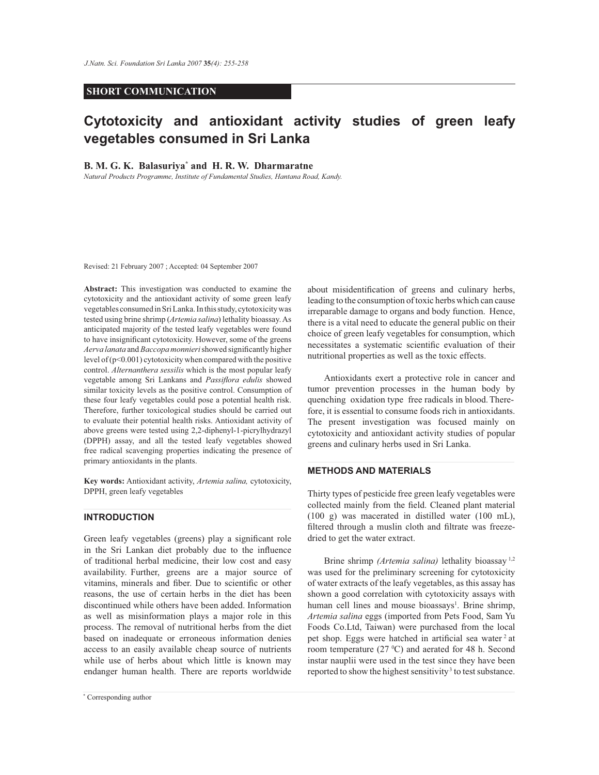#### **SHORT COMMUNICATION**

# **Cytotoxicity and antioxidant activity studies of green leafy vegetables consumed in Sri Lanka**

### **B. M. G. K. Balasuriya\* and H. R. W. Dharmaratne**

*Natural Products Programme, Institute of Fundamental Studies, Hantana Road, Kandy.*

Revised: 21 February 2007 ; Accepted: 04 September 2007

**Abstract:** This investigation was conducted to examine the cytotoxicity and the antioxidant activity of some green leafy vegetables consumed in Sri Lanka. In this study, cytotoxicity was tested using brine shrimp (*Artemia salina*) lethality bioassay. As anticipated majority of the tested leafy vegetables were found to have insignificant cytotoxicity. However, some of the greens *Aerva lanata* and *Baccopa monnieri* showed significantly higher level of  $(p<0.001)$  cytotoxicity when compared with the positive control. *Alternanthera sessilis* which is the most popular leafy vegetable among Sri Lankans and *Passiflora edulis* showed similar toxicity levels as the positive control. Consumption of these four leafy vegetables could pose a potential health risk. Therefore, further toxicological studies should be carried out to evaluate their potential health risks. Antioxidant activity of above greens were tested using 2,2-diphenyl-1-picrylhydrazyl (DPPH) assay, and all the tested leafy vegetables showed free radical scavenging properties indicating the presence of primary antioxidants in the plants.

**Key words:** Antioxidant activity, *Artemia salina,* cytotoxicity, DPPH, green leafy vegetables

## **INTRODUCTION**

Green leafy vegetables (greens) play a significant role in the Sri Lankan diet probably due to the influence of traditional herbal medicine, their low cost and easy availability. Further, greens are a major source of vitamins, minerals and fiber. Due to scientific or other reasons, the use of certain herbs in the diet has been discontinued while others have been added. Information as well as misinformation plays a major role in this process. The removal of nutritional herbs from the diet based on inadequate or erroneous information denies access to an easily available cheap source of nutrients while use of herbs about which little is known may endanger human health. There are reports worldwide

about misidentification of greens and culinary herbs, leading to the consumption of toxic herbs which can cause irreparable damage to organs and body function. Hence, there is a vital need to educate the general public on their choice of green leafy vegetables for consumption, which necessitates a systematic scientific evaluation of their nutritional properties as well as the toxic effects.

 Antioxidants exert a protective role in cancer and tumor prevention processes in the human body by quenching oxidation type free radicals in blood.Therefore, it is essential to consume foods rich in antioxidants. The present investigation was focused mainly on cytotoxicity and antioxidant activity studies of popular greens and culinary herbs used in Sri Lanka.

#### **METHODS AND MATERIALS**

Thirty types of pesticide free green leafy vegetables were collected mainly from the field. Cleaned plant material (100 g) was macerated in distilled water (100 mL), filtered through a muslin cloth and filtrate was freezedried to get the water extract.

 Brine shrimp *(Artemia salina)* lethality bioassay 1,2 was used for the preliminary screening for cytotoxicity of water extracts of the leafy vegetables, as this assay has shown a good correlation with cytotoxicity assays with human cell lines and mouse bioassays<sup>1</sup>. Brine shrimp, *Artemia salina* eggs (imported from Pets Food, Sam Yu Foods Co.Ltd, Taiwan) were purchased from the local pet shop. Eggs were hatched in artificial sea water  $2$  at room temperature  $(27 \text{ }^{\circ}\text{C})$  and aerated for 48 h. Second instar nauplii were used in the test since they have been reported to show the highest sensitivity<sup>3</sup> to test substance.

*Journal of the National Science Foundation of Sri Lanka 35 (4) December 2007* \* Corresponding author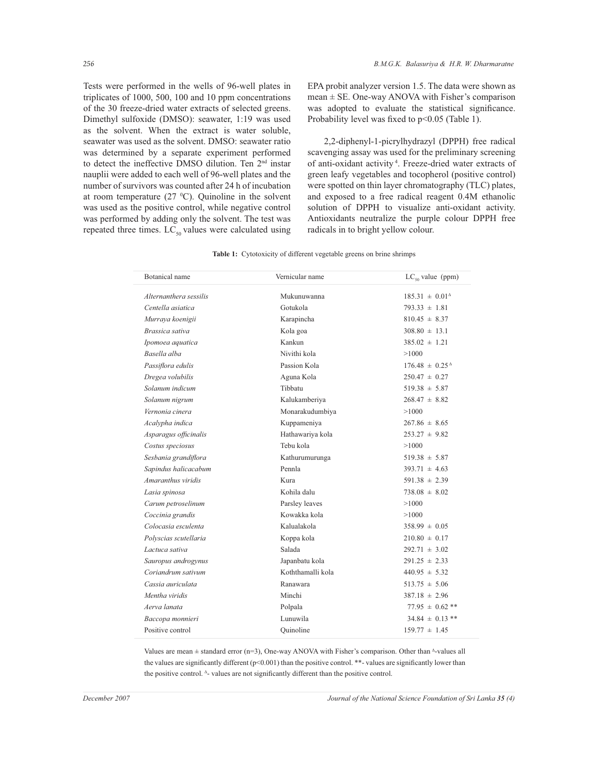Tests were performed in the wells of 96-well plates in triplicates of 1000, 500, 100 and 10 ppm concentrations of the 30 freeze-dried water extracts of selected greens. Dimethyl sulfoxide (DMSO): seawater, 1:19 was used as the solvent. When the extract is water soluble, seawater was used as the solvent. DMSO: seawater ratio was determined by a separate experiment performed to detect the ineffective DMSO dilution. Ten 2nd instar nauplii were added to each well of 96-well plates and the number of survivors was counted after 24 h of incubation at room temperature  $(27 \text{ °C})$ . Quinoline in the solvent was used as the positive control, while negative control was performed by adding only the solvent. The test was repeated three times.  $LC_{50}$  values were calculated using

EPA probit analyzer version 1.5. The data were shown as mean  $\pm$  SE. One-way ANOVA with Fisher's comparison was adopted to evaluate the statistical significance. Probability level was fixed to  $p<0.05$  (Table 1).

 2,2-diphenyl-1-picrylhydrazyl (DPPH) free radical scavenging assay was used for the preliminary screening of anti-oxidant activity <sup>4</sup> . Freeze-dried water extracts of green leafy vegetables and tocopherol (positive control) were spotted on thin layer chromatography (TLC) plates, and exposed to a free radical reagent 0.4M ethanolic solution of DPPH to visualize anti-oxidant activity. Antioxidants neutralize the purple colour DPPH free radicals in to bright yellow colour.

**Table 1:** Cytotoxicity of different vegetable greens on brine shrimps

| Botanical name         | Vernicular name   | $LC_{so}$ value (ppm)     |
|------------------------|-------------------|---------------------------|
| Alternanthera sessilis | Mukunuwanna       | $185.31 \pm 0.01^{\circ}$ |
| Centella asiatica      | Gotukola          | $793.33 \pm 1.81$         |
| Murraya koenigii       | Karapincha        | $810.45 \pm 8.37$         |
| Brassica sativa        | Kola goa          | $308.80 \pm 13.1$         |
| Ipomoea aquatica       | Kankun            | $385.02 \pm 1.21$         |
| Basella alba           | Nivithi kola      | >1000                     |
| Passiflora edulis      | Passion Kola      | $176.48 \pm 0.25^{\circ}$ |
| Dregea volubilis       | Aguna Kola        | $250.47 \pm 0.27$         |
| Solanum indicum        | Tibbatu           | $519.38 \pm 5.87$         |
| Solanum nigrum         | Kalukamberiya     | $268.47 \pm 8.82$         |
| Vernonia cinera        | Monarakudumbiya   | >1000                     |
| Acalypha indica        | Kuppameniya       | $267.86 \pm 8.65$         |
| Asparagus officinalis  | Hathawariya kola  | $253.27 \pm 9.82$         |
| Costus speciosus       | Tebu kola         | >1000                     |
| Sesbania grandiflora   | Kathurumurunga    | $519.38 \pm 5.87$         |
| Sapindus halicacabum   | Pennla            | $393.71 \pm 4.63$         |
| Amaranthus viridis     | Kura              | $591.38 \pm 2.39$         |
| Lasia spinosa          | Kohila dalu       | $738.08 \pm 8.02$         |
| Carum petroselinum     | Parsley leaves    | >1000                     |
| Coccinia grandis       | Kowakka kola      | >1000                     |
| Colocasia esculenta    | Kalualakola       | $358.99 \pm 0.05$         |
| Polyscias scutellaria  | Koppa kola        | $210.80 \pm 0.17$         |
| Lactuca sativa         | Salada            | $292.71 \pm 3.02$         |
| Sauropus androgynus    | Japanbatu kola    | $291.25 \pm 2.33$         |
| Coriandrum sativum     | Koththamalli kola | $440.95 \pm 5.32$         |
| Cassia auriculata      | Ranawara          | $513.75 \pm 5.06$         |
| Mentha viridis         | Minchi            | $387.18 \pm 2.96$         |
| Aerva lanata           | Polpala           | $77.95 \pm 0.62$ **       |
| Baccopa monnieri       | Lunuwila          | $34.84 \pm 0.13$ **       |
| Positive control       | Ouinoline         | $159.77 \pm 1.45$         |

Values are mean  $\pm$  standard error (n=3), One-way ANOVA with Fisher's comparison. Other than  $\Delta$ -values all the values are significantly different (p<0.001) than the positive control. \*\*- values are significantly lower than the positive control. <sup>Δ</sup>- values are not significantly different than the positive control.

*December 2007 Journal of the National Science Foundation of Sri Lanka 35 (4)*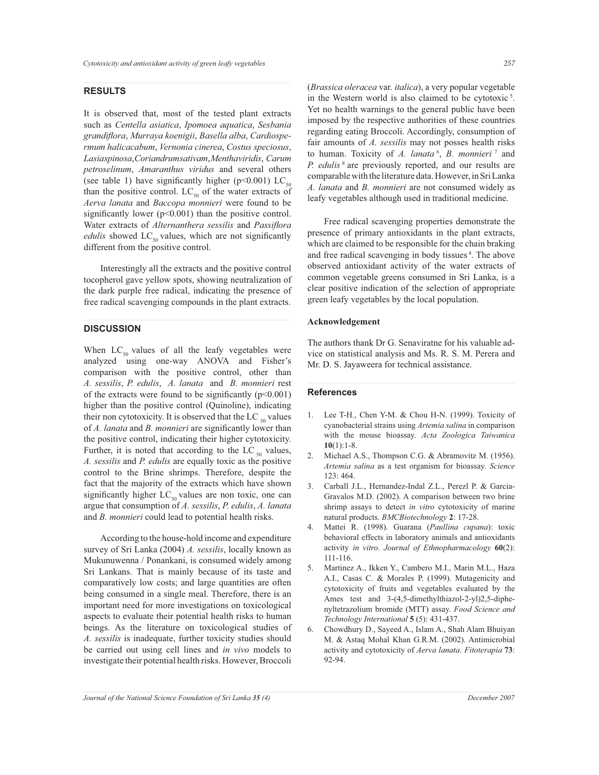### **RESULTS**

It is observed that, most of the tested plant extracts such as *Centella asiatica*, *Ipomoea aquatica*, *Sesbania grandiflora*, *Murraya koenigii*, *Basella alba*, *Cardiospermum halicacabum*, *Vernonia cinerea*, *Costus speciosus*, *Lasia spinosa*, *Coriandrum sativam*, *Mentha viridis*, *Carum petroselinum*, *Amaranthus viridus* and several others (see table 1) have significantly higher (p<0.001) LC<sub>50</sub> than the positive control.  $LC_{50}$  of the water extracts of *Aerva lanata* and *Baccopa monnieri* were found to be significantly lower  $(p<0.001)$  than the positive control. Water extracts of *Alternanthera sessilis* and *Passiflora edulis* showed  $LC_{50}$  values, which are not significantly different from the positive control.

 Interestingly all the extracts and the positive control tocopherol gave yellow spots, showing neutralization of the dark purple free radical, indicating the presence of free radical scavenging compounds in the plant extracts.

### **DISCUSSION**

When  $LC_{50}$  values of all the leafy vegetables were analyzed using one-way ANOVA and Fisher's comparison with the positive control, other than *A. sessilis*, *P. edulis*, *A. lanata* and *B. monnieri* rest of the extracts were found to be significantly  $(p<0.001)$ higher than the positive control (Quinoline), indicating their non cytotoxicity. It is observed that the LC  $_{50}$  values of *A. lanata* and *B. monnieri* are significantly lower than the positive control, indicating their higher cytotoxicity. Further, it is noted that according to the LC  $_{50}$  values, *A. sessilis* and *P. edulis* are equally toxic as the positive control to the Brine shrimps. Therefore, despite the fact that the majority of the extracts which have shown significantly higher  $LC_{50}$  values are non toxic, one can argue that consumption of *A. sessilis*, *P. edulis*, *A. lanata* and *B. monnieri* could lead to potential health risks.

 According to the house-hold income and expenditure survey of Sri Lanka (2004) *A. sessilis*, locally known as Mukunuwenna / Ponankani, is consumed widely among Sri Lankans. That is mainly because of its taste and comparatively low costs; and large quantities are often being consumed in a single meal. Therefore, there is an important need for more investigations on toxicological aspects to evaluate their potential health risks to human beings. As the literature on toxicological studies of *A. sessilis* is inadequate, further toxicity studies should be carried out using cell lines and *in vivo* models to investigate their potential health risks. However, Broccoli

(*Brassica oleracea* var. *italica*), a very popular vegetable in the Western world is also claimed to be cytotoxic<sup>5</sup>. Yet no health warnings to the general public have been imposed by the respective authorities of these countries regarding eating Broccoli. Accordingly, consumption of fair amounts of *A. sessilis* may not posses health risks to human. Toxicity of *A. lanata* <sup>6</sup> , *B. monnieri*<sup>7</sup> and *P. edulis*<sup>8</sup> are previously reported, and our results are comparable with the literature data. However, in Sri Lanka *A. lanata* and *B. monnieri* are not consumed widely as leafy vegetables although used in traditional medicine.

 Free radical scavenging properties demonstrate the presence of primary antioxidants in the plant extracts, which are claimed to be responsible for the chain braking and free radical scavenging in body tissues<sup>4</sup>. The above observed antioxidant activity of the water extracts of common vegetable greens consumed in Sri Lanka, is a clear positive indication of the selection of appropriate green leafy vegetables by the local population.

#### **Acknowledgement**

The authors thank Dr G. Senaviratne for his valuable advice on statistical analysis and Ms. R. S. M. Perera and Mr. D. S. Jayaweera for technical assistance.

#### **References**

- 1. Lee T-H., Chen Y-M. & Chou H-N. (1999). Toxicity of cyanobacterial strains using *Artemia salina* in comparison with the mouse bioassay. *Acta Zoologica Taiwanica*  **10**(1):1-8.
- 2. Michael A.S., Thompson C.G. & Abramovitz M. (1956). *Artemia salina* as a test organism for bioassay. *Science* 123: 464.
- 3. Carball J.L., Hernandez-Indal Z.L., Perezl P. & Garcia-Gravalos M.D. (2002). A comparison between two brine shrimp assays to detect *in vitro* cytotoxicity of marine natural products. *BMCBiotechnology* **2**: 17-28.
- 4. Mattei R. (1998). Guarana (*Paullina cupana*): toxic behavioral effects in laboratory animals and antioxidants activity *in vitro*. *Journal of Ethnopharmacology* **60**(2): 111-116.
- 5. Martinez A., Ikken Y., Cambero M.I., Marin M.L., Haza A.I., Casas C. & Morales P. (1999). Mutagenicity and cytotoxicity of fruits and vegetables evaluated by the Ames test and 3-(4,5-dimethylthiazol-2-yl)2,5-diphenyltetrazolium bromide (MTT) assay. *Food Science and Technology International* **5** (5): 431-437.
- 6. Chowdhury D., Sayeed A., Islam A., Shah Alam Bhuiyan M. & Astaq Mohal Khan G.R.M. (2002). Antimicrobial activity and cytotoxicity of *Aerva lanata*. *Fitoterapia* **73**: 92-94.